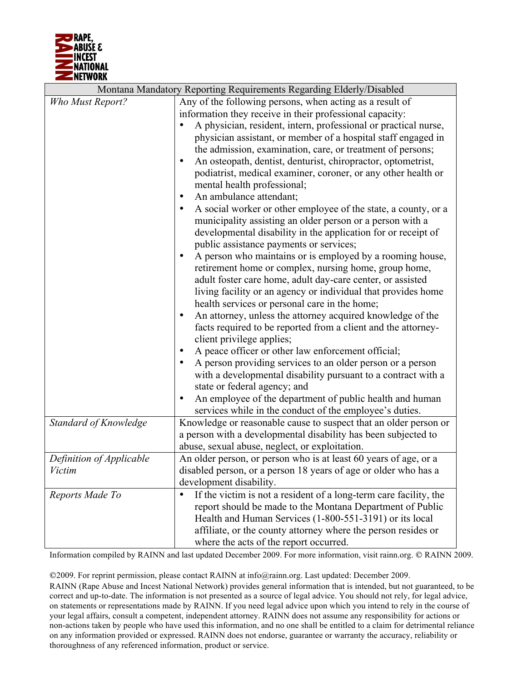

| Montana Mandatory Reporting Requirements Regarding Elderly/Disabled |                                                                                |
|---------------------------------------------------------------------|--------------------------------------------------------------------------------|
| Who Must Report?                                                    | Any of the following persons, when acting as a result of                       |
|                                                                     | information they receive in their professional capacity:                       |
|                                                                     | A physician, resident, intern, professional or practical nurse,                |
|                                                                     | physician assistant, or member of a hospital staff engaged in                  |
|                                                                     | the admission, examination, care, or treatment of persons;                     |
|                                                                     | An osteopath, dentist, denturist, chiropractor, optometrist,<br>٠              |
|                                                                     | podiatrist, medical examiner, coroner, or any other health or                  |
|                                                                     | mental health professional;                                                    |
|                                                                     | An ambulance attendant;                                                        |
|                                                                     | A social worker or other employee of the state, a county, or a                 |
|                                                                     | municipality assisting an older person or a person with a                      |
|                                                                     | developmental disability in the application for or receipt of                  |
|                                                                     | public assistance payments or services;                                        |
|                                                                     | A person who maintains or is employed by a rooming house,<br>$\bullet$         |
|                                                                     | retirement home or complex, nursing home, group home,                          |
|                                                                     | adult foster care home, adult day-care center, or assisted                     |
|                                                                     | living facility or an agency or individual that provides home                  |
|                                                                     | health services or personal care in the home;                                  |
|                                                                     | An attorney, unless the attorney acquired knowledge of the<br>$\bullet$        |
|                                                                     | facts required to be reported from a client and the attorney-                  |
|                                                                     | client privilege applies;                                                      |
|                                                                     | A peace officer or other law enforcement official;                             |
|                                                                     | A person providing services to an older person or a person                     |
|                                                                     | with a developmental disability pursuant to a contract with a                  |
|                                                                     | state or federal agency; and                                                   |
|                                                                     | An employee of the department of public health and human<br>$\bullet$          |
|                                                                     | services while in the conduct of the employee's duties.                        |
| Standard of Knowledge                                               | Knowledge or reasonable cause to suspect that an older person or               |
|                                                                     | a person with a developmental disability has been subjected to                 |
|                                                                     | abuse, sexual abuse, neglect, or exploitation.                                 |
| Definition of Applicable                                            | An older person, or person who is at least 60 years of age, or a               |
| Victim                                                              | disabled person, or a person 18 years of age or older who has a                |
|                                                                     | development disability.                                                        |
| Reports Made To                                                     | If the victim is not a resident of a long-term care facility, the<br>$\bullet$ |
|                                                                     | report should be made to the Montana Department of Public                      |
|                                                                     | Health and Human Services (1-800-551-3191) or its local                        |
|                                                                     | affiliate, or the county attorney where the person resides or                  |
|                                                                     | where the acts of the report occurred.                                         |

Information compiled by RAINN and last updated December 2009. For more information, visit rainn.org. © RAINN 2009.

2009. For reprint permission, please contact RAINN at info@rainn.org. Last updated: December 2009.

RAINN (Rape Abuse and Incest National Network) provides general information that is intended, but not guaranteed, to be correct and up-to-date. The information is not presented as a source of legal advice. You should not rely, for legal advice, on statements or representations made by RAINN. If you need legal advice upon which you intend to rely in the course of your legal affairs, consult a competent, independent attorney. RAINN does not assume any responsibility for actions or non-actions taken by people who have used this information, and no one shall be entitled to a claim for detrimental reliance on any information provided or expressed. RAINN does not endorse, guarantee or warranty the accuracy, reliability or thoroughness of any referenced information, product or service.